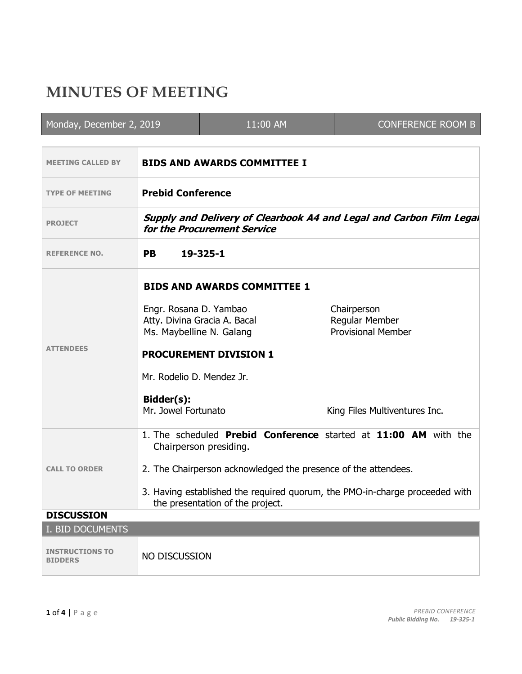## **MINUTES OF MEETING**

| Monday, December 2, 2019                 |                                                                                                                 | 11:00 AM                           | <b>CONFERENCE ROOM B</b>                                        |  |  |
|------------------------------------------|-----------------------------------------------------------------------------------------------------------------|------------------------------------|-----------------------------------------------------------------|--|--|
|                                          |                                                                                                                 |                                    |                                                                 |  |  |
| <b>MEETING CALLED BY</b>                 |                                                                                                                 | <b>BIDS AND AWARDS COMMITTEE I</b> |                                                                 |  |  |
| <b>TYPE OF MEETING</b>                   | <b>Prebid Conference</b>                                                                                        |                                    |                                                                 |  |  |
| <b>PROJECT</b>                           | Supply and Delivery of Clearbook A4 and Legal and Carbon Film Legal<br>for the Procurement Service              |                                    |                                                                 |  |  |
| <b>REFERENCE NO.</b>                     | <b>PB</b>                                                                                                       | 19-325-1                           |                                                                 |  |  |
| <b>ATTENDEES</b>                         | <b>BIDS AND AWARDS COMMITTEE 1</b>                                                                              |                                    |                                                                 |  |  |
|                                          | Engr. Rosana D. Yambao<br>Ms. Maybelline N. Galang                                                              | Atty. Divina Gracia A. Bacal       | Chairperson<br>Regular Member<br><b>Provisional Member</b>      |  |  |
|                                          | <b>PROCUREMENT DIVISION 1</b>                                                                                   |                                    |                                                                 |  |  |
|                                          | Mr. Rodelio D. Mendez Jr.                                                                                       |                                    |                                                                 |  |  |
|                                          | Bidder(s):<br>Mr. Jowel Fortunato                                                                               |                                    | King Files Multiventures Inc.                                   |  |  |
| <b>CALL TO ORDER</b>                     |                                                                                                                 | Chairperson presiding.             | 1. The scheduled Prebid Conference started at 11:00 AM with the |  |  |
|                                          | 2. The Chairperson acknowledged the presence of the attendees.                                                  |                                    |                                                                 |  |  |
|                                          | 3. Having established the required quorum, the PMO-in-charge proceeded with<br>the presentation of the project. |                                    |                                                                 |  |  |
| <b>DISCUSSION</b>                        |                                                                                                                 |                                    |                                                                 |  |  |
| I. BID DOCUMENTS                         |                                                                                                                 |                                    |                                                                 |  |  |
| <b>INSTRUCTIONS TO</b><br><b>BIDDERS</b> | NO DISCUSSION                                                                                                   |                                    |                                                                 |  |  |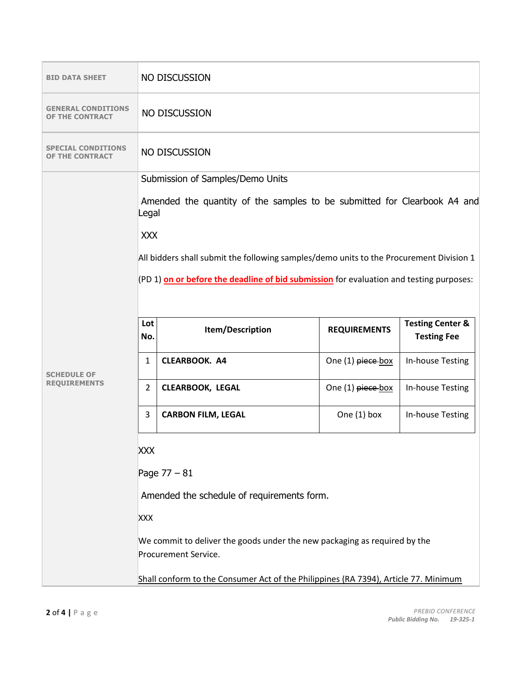| <b>BID DATA SHEET</b>                               | NO DISCUSSION                                                                                     |                                                                                         |                     |                                                   |  |
|-----------------------------------------------------|---------------------------------------------------------------------------------------------------|-----------------------------------------------------------------------------------------|---------------------|---------------------------------------------------|--|
| <b>GENERAL CONDITIONS</b><br><b>THE CONTRACT</b>    |                                                                                                   | NO DISCUSSION                                                                           |                     |                                                   |  |
| <b>SPECIAL CONDITIONS</b><br><b>OF THE CONTRACT</b> | NO DISCUSSION                                                                                     |                                                                                         |                     |                                                   |  |
|                                                     | Submission of Samples/Demo Units                                                                  |                                                                                         |                     |                                                   |  |
|                                                     | Amended the quantity of the samples to be submitted for Clearbook A4 and<br>Legal                 |                                                                                         |                     |                                                   |  |
|                                                     | <b>XXX</b>                                                                                        |                                                                                         |                     |                                                   |  |
|                                                     | All bidders shall submit the following samples/demo units to the Procurement Division 1           |                                                                                         |                     |                                                   |  |
|                                                     |                                                                                                   |                                                                                         |                     |                                                   |  |
|                                                     |                                                                                                   | (PD 1) on or before the deadline of bid submission for evaluation and testing purposes: |                     |                                                   |  |
|                                                     |                                                                                                   |                                                                                         |                     |                                                   |  |
| <b>SCHEDULE OF</b><br><b>REQUIREMENTS</b>           | Lot<br>No.                                                                                        | Item/Description                                                                        | <b>REQUIREMENTS</b> | <b>Testing Center &amp;</b><br><b>Testing Fee</b> |  |
|                                                     | $\mathbf{1}$                                                                                      | <b>CLEARBOOK. A4</b>                                                                    | One (1) piece box   | In-house Testing                                  |  |
|                                                     | $\overline{2}$                                                                                    | <b>CLEARBOOK, LEGAL</b>                                                                 | One (1) piece-box   | In-house Testing                                  |  |
|                                                     | 3                                                                                                 | <b>CARBON FILM, LEGAL</b>                                                               | One $(1)$ box       | In-house Testing                                  |  |
|                                                     | <b>XXX</b>                                                                                        |                                                                                         |                     |                                                   |  |
|                                                     | Page $77 - 81$                                                                                    |                                                                                         |                     |                                                   |  |
|                                                     | Amended the schedule of requirements form.                                                        |                                                                                         |                     |                                                   |  |
|                                                     |                                                                                                   |                                                                                         |                     |                                                   |  |
|                                                     | <b>XXX</b>                                                                                        |                                                                                         |                     |                                                   |  |
|                                                     | We commit to deliver the goods under the new packaging as required by the<br>Procurement Service. |                                                                                         |                     |                                                   |  |
|                                                     |                                                                                                   |                                                                                         |                     |                                                   |  |
|                                                     |                                                                                                   | Shall conform to the Consumer Act of the Philippines (RA 7394), Article 77. Minimum     |                     |                                                   |  |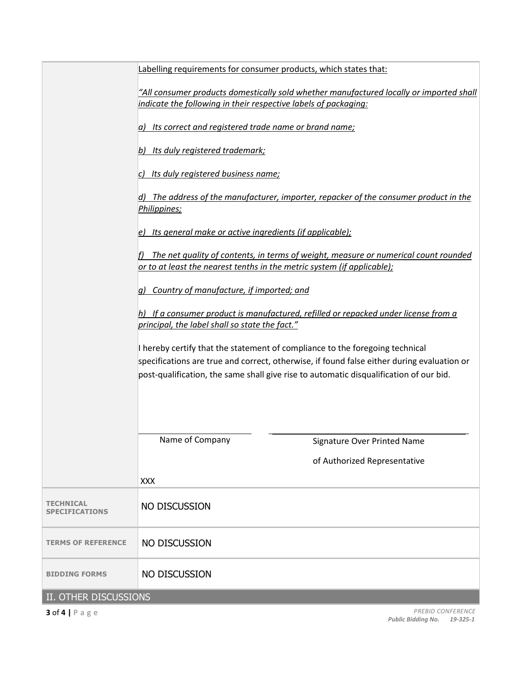|                                           | Labelling requirements for consumer products, which states that:                                                                                                                                                                                                     |                                                                                     |  |  |  |
|-------------------------------------------|----------------------------------------------------------------------------------------------------------------------------------------------------------------------------------------------------------------------------------------------------------------------|-------------------------------------------------------------------------------------|--|--|--|
|                                           | "All consumer products domestically sold whether manufactured locally or imported shall<br>indicate the following in their respective labels of packaging:                                                                                                           |                                                                                     |  |  |  |
|                                           | Its correct and registered trade name or brand name;<br>la)                                                                                                                                                                                                          |                                                                                     |  |  |  |
|                                           | b) Its duly registered trademark;                                                                                                                                                                                                                                    |                                                                                     |  |  |  |
|                                           | c) Its duly registered business name;                                                                                                                                                                                                                                |                                                                                     |  |  |  |
|                                           | d) The address of the manufacturer, importer, repacker of the consumer product in the<br>Philippines;<br>Its general make or active ingredients (if applicable);<br>e)                                                                                               |                                                                                     |  |  |  |
|                                           |                                                                                                                                                                                                                                                                      |                                                                                     |  |  |  |
|                                           | or to at least the nearest tenths in the metric system (if applicable);                                                                                                                                                                                              | The net quality of contents, in terms of weight, measure or numerical count rounded |  |  |  |
|                                           | Country of manufacture, if imported; and<br>a)                                                                                                                                                                                                                       |                                                                                     |  |  |  |
|                                           | If a consumer product is manufactured, refilled or repacked under license from a<br>principal, the label shall so state the fact."                                                                                                                                   |                                                                                     |  |  |  |
|                                           | I hereby certify that the statement of compliance to the foregoing technical<br>specifications are true and correct, otherwise, if found false either during evaluation or<br>post-qualification, the same shall give rise to automatic disqualification of our bid. |                                                                                     |  |  |  |
|                                           | Name of Company                                                                                                                                                                                                                                                      | Signature Over Printed Name                                                         |  |  |  |
|                                           |                                                                                                                                                                                                                                                                      | of Authorized Representative                                                        |  |  |  |
|                                           | <b>XXX</b>                                                                                                                                                                                                                                                           |                                                                                     |  |  |  |
| <b>TECHNICAL</b><br><b>SPECIFICATIONS</b> | NO DISCUSSION                                                                                                                                                                                                                                                        |                                                                                     |  |  |  |
| <b>TERMS OF REFERENCE</b>                 | NO DISCUSSION                                                                                                                                                                                                                                                        |                                                                                     |  |  |  |
| <b>BIDDING FORMS</b>                      | NO DISCUSSION                                                                                                                                                                                                                                                        |                                                                                     |  |  |  |
| II. OTHER DISCUSSIONS                     |                                                                                                                                                                                                                                                                      |                                                                                     |  |  |  |